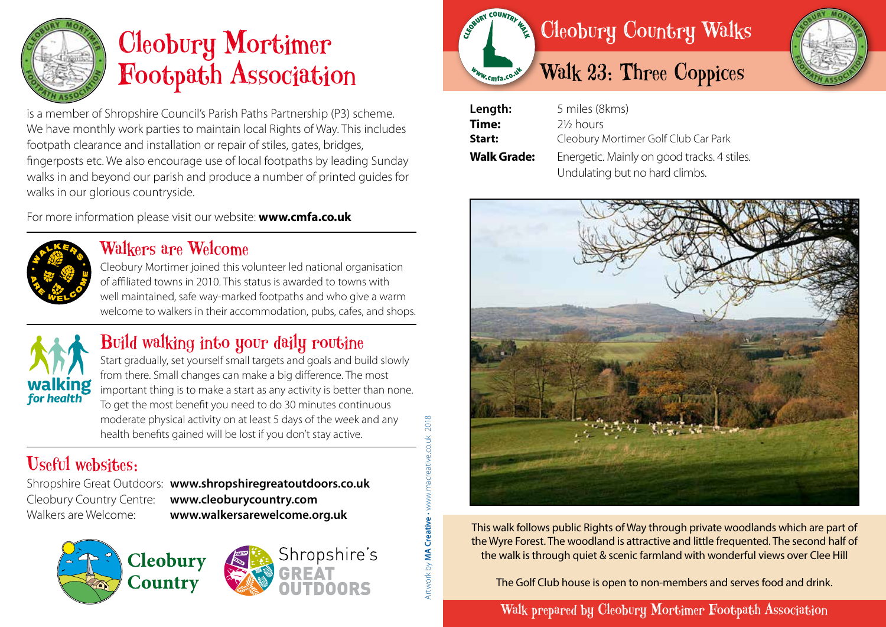

# Cleobury Mortimer Footpath Association

is a member of Shropshire Council's Parish Paths Partnership (P3) scheme. We have monthly work parties to maintain local Rights of Way. This includes footpath clearance and installation or repair of stiles, gates, bridges, fingerposts etc. We also encourage use of local footpaths by leading Sunday walks in and beyond our parish and produce a number of printed guides for walks in our glorious countryside.

For more information please visit our website: **www.cmfa.co.uk**



#### Walkers are Welcome

Cleobury Mortimer joined this volunteer led national organisation of affiliated towns in 2010. This status is awarded to towns with well maintained, safe way-marked footpaths and who give a warm welcome to walkers in their accommodation, pubs, cafes, and shops.



### Build walking into your daily routine

Start gradually, set yourself small targets and goals and build slowly from there. Small changes can make a big difference. The most important thing is to make a start as any activity is better than none. To get the most benefit you need to do 30 minutes continuous moderate physical activity on at least 5 days of the week and any health benefits gained will be lost if you don't stay active.

## Useful websites:

Shropshire Great Outdoors: **www.shropshiregreatoutdoors.co.uk**  Cleobury Country Centre: **www.cleoburycountry.com** Walkers are Welcome: **www.walkersarewelcome.org.uk**

Artwork by **MA Creative** • www.macreative.co.uk 2018

Artwork by **MA Creative** 

2018







| Length:            | 5 miles (8kms)                              |
|--------------------|---------------------------------------------|
| Time:              | 2 <sup>1/2</sup> hours                      |
| Start:             | Cleobury Mortimer Golf Club Car Park        |
| <b>Walk Grade:</b> | Energetic. Mainly on good tracks. 4 stiles. |
|                    | Undulating but no hard climbs.              |



This walk follows public Rights of Way through private woodlands which are part of the Wyre Forest. The woodland is attractive and little frequented. The second half of the walk is through quiet & scenic farmland with wonderful views over Clee Hill

The Golf Club house is open to non-members and serves food and drink.

Walk prepared by Cleobury Mortimer Footpath Association